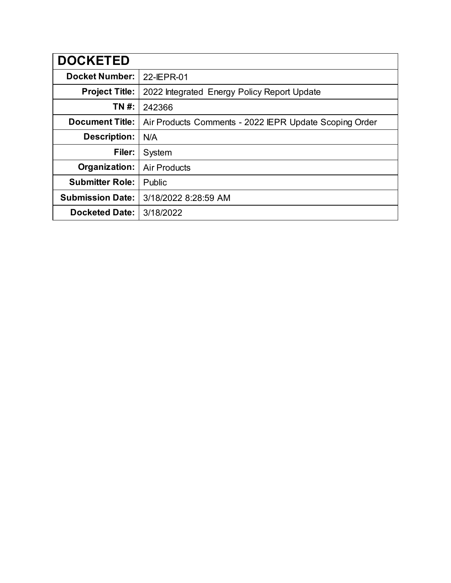| <b>DOCKETED</b>         |                                                        |
|-------------------------|--------------------------------------------------------|
| <b>Docket Number:</b>   | 22-IEPR-01                                             |
| <b>Project Title:</b>   | 2022 Integrated Energy Policy Report Update            |
| TN #:                   | 242366                                                 |
| <b>Document Title:</b>  | Air Products Comments - 2022 IEPR Update Scoping Order |
| Description:            | N/A                                                    |
| Filer:                  | System                                                 |
| Organization:           | <b>Air Products</b>                                    |
| <b>Submitter Role:</b>  | Public                                                 |
| <b>Submission Date:</b> | 3/18/2022 8:28:59 AM                                   |
| <b>Docketed Date:</b>   | 3/18/2022                                              |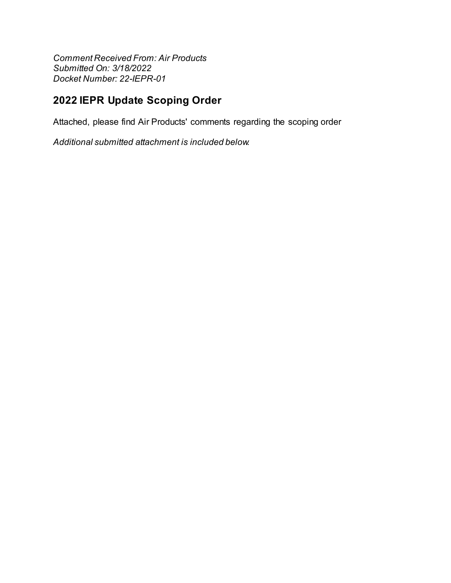**Comment Received From: Air Products** Submitted On: 3/18/2022 Docket Number: 22-IEPR-01

# 2022 IEPR Update Scoping Order

Attached, please find Air Products' comments regarding the scoping order

Additional submitted attachment is included below.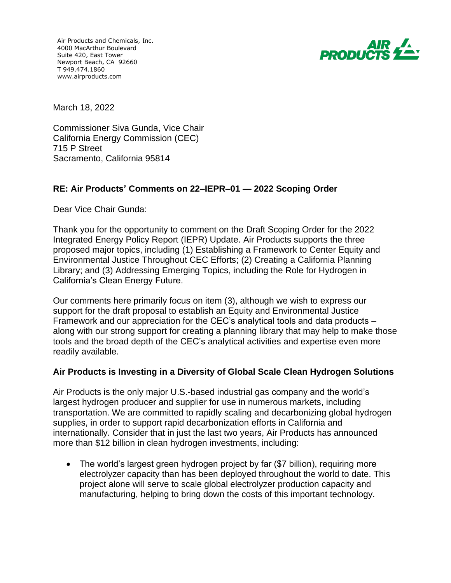Air Products and Chemicals, Inc. 4000 MacArthur Boulevard Suite 420, East Tower Newport Beach, CA 92660 T 949.474.1860 www.airproducts.com



March 18, 2022

Commissioner Siva Gunda, Vice Chair California Energy Commission (CEC) 715 P Street Sacramento, California 95814

### **RE: Air Products' Comments on 22–IEPR–01 — 2022 Scoping Order**

Dear Vice Chair Gunda:

Thank you for the opportunity to comment on the Draft Scoping Order for the 2022 Integrated Energy Policy Report (IEPR) Update. Air Products supports the three proposed major topics, including (1) Establishing a Framework to Center Equity and Environmental Justice Throughout CEC Efforts; (2) Creating a California Planning Library; and (3) Addressing Emerging Topics, including the Role for Hydrogen in California's Clean Energy Future.

Our comments here primarily focus on item (3), although we wish to express our support for the draft proposal to establish an Equity and Environmental Justice Framework and our appreciation for the CEC's analytical tools and data products – along with our strong support for creating a planning library that may help to make those tools and the broad depth of the CEC's analytical activities and expertise even more readily available.

### **Air Products is Investing in a Diversity of Global Scale Clean Hydrogen Solutions**

Air Products is the only major U.S.-based industrial gas company and the world's largest hydrogen producer and supplier for use in numerous markets, including transportation. We are committed to rapidly scaling and decarbonizing global hydrogen supplies, in order to support rapid decarbonization efforts in California and internationally. Consider that in just the last two years, Air Products has announced more than \$12 billion in clean hydrogen investments, including:

• The world's largest green hydrogen project by far (\$7 billion), requiring more electrolyzer capacity than has been deployed throughout the world to date. This project alone will serve to scale global electrolyzer production capacity and manufacturing, helping to bring down the costs of this important technology.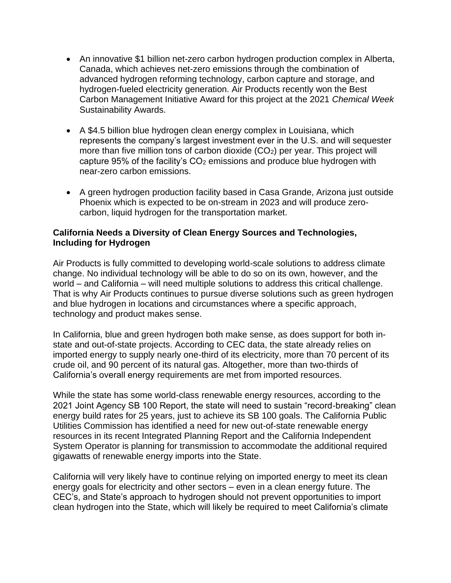- An innovative \$1 billion net-zero carbon hydrogen production complex in Alberta, Canada, which achieves net-zero emissions through the combination of advanced hydrogen reforming technology, carbon capture and storage, and hydrogen-fueled electricity generation. Air Products recently won the Best Carbon Management Initiative Award for this project at the 2021 *Chemical Week* Sustainability Awards.
- A \$4.5 billion blue hydrogen clean energy complex in Louisiana, which represents the company's largest investment ever in the U.S. and will sequester more than five million tons of carbon dioxide  $(CO_2)$  per year. This project will capture 95% of the facility's  $CO<sub>2</sub>$  emissions and produce blue hydrogen with near-zero carbon emissions.
- A green hydrogen production facility based in Casa Grande, Arizona just outside Phoenix which is expected to be on-stream in 2023 and will produce zerocarbon, liquid hydrogen for the transportation market.

## **California Needs a Diversity of Clean Energy Sources and Technologies, Including for Hydrogen**

Air Products is fully committed to developing world-scale solutions to address climate change. No individual technology will be able to do so on its own, however, and the world – and California – will need multiple solutions to address this critical challenge. That is why Air Products continues to pursue diverse solutions such as green hydrogen and blue hydrogen in locations and circumstances where a specific approach, technology and product makes sense.

In California, blue and green hydrogen both make sense, as does support for both instate and out-of-state projects. According to CEC data, the state already relies on imported energy to supply nearly one-third of its electricity, more than 70 percent of its crude oil, and 90 percent of its natural gas. Altogether, more than two-thirds of California's overall energy requirements are met from imported resources.

While the state has some world-class renewable energy resources, according to the 2021 Joint Agency SB 100 Report, the state will need to sustain "record-breaking" clean energy build rates for 25 years, just to achieve its SB 100 goals. The California Public Utilities Commission has identified a need for new out-of-state renewable energy resources in its recent Integrated Planning Report and the California Independent System Operator is planning for transmission to accommodate the additional required gigawatts of renewable energy imports into the State.

California will very likely have to continue relying on imported energy to meet its clean energy goals for electricity and other sectors – even in a clean energy future. The CEC's, and State's approach to hydrogen should not prevent opportunities to import clean hydrogen into the State, which will likely be required to meet California's climate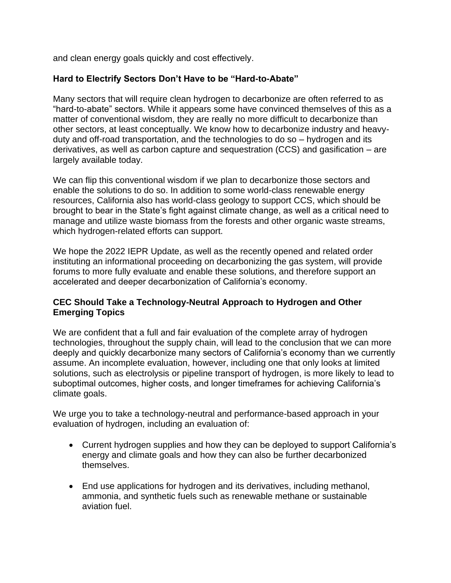and clean energy goals quickly and cost effectively.

## **Hard to Electrify Sectors Don't Have to be "Hard-to-Abate"**

Many sectors that will require clean hydrogen to decarbonize are often referred to as "hard-to-abate" sectors. While it appears some have convinced themselves of this as a matter of conventional wisdom, they are really no more difficult to decarbonize than other sectors, at least conceptually. We know how to decarbonize industry and heavyduty and off-road transportation, and the technologies to do so – hydrogen and its derivatives, as well as carbon capture and sequestration (CCS) and gasification – are largely available today.

We can flip this conventional wisdom if we plan to decarbonize those sectors and enable the solutions to do so. In addition to some world-class renewable energy resources, California also has world-class geology to support CCS, which should be brought to bear in the State's fight against climate change, as well as a critical need to manage and utilize waste biomass from the forests and other organic waste streams, which hydrogen-related efforts can support.

We hope the 2022 IEPR Update, as well as the recently opened and related order instituting an informational proceeding on decarbonizing the gas system, will provide forums to more fully evaluate and enable these solutions, and therefore support an accelerated and deeper decarbonization of California's economy.

## **CEC Should Take a Technology-Neutral Approach to Hydrogen and Other Emerging Topics**

We are confident that a full and fair evaluation of the complete array of hydrogen technologies, throughout the supply chain, will lead to the conclusion that we can more deeply and quickly decarbonize many sectors of California's economy than we currently assume. An incomplete evaluation, however, including one that only looks at limited solutions, such as electrolysis or pipeline transport of hydrogen, is more likely to lead to suboptimal outcomes, higher costs, and longer timeframes for achieving California's climate goals.

We urge you to take a technology-neutral and performance-based approach in your evaluation of hydrogen, including an evaluation of:

- Current hydrogen supplies and how they can be deployed to support California's energy and climate goals and how they can also be further decarbonized themselves.
- End use applications for hydrogen and its derivatives, including methanol, ammonia, and synthetic fuels such as renewable methane or sustainable aviation fuel.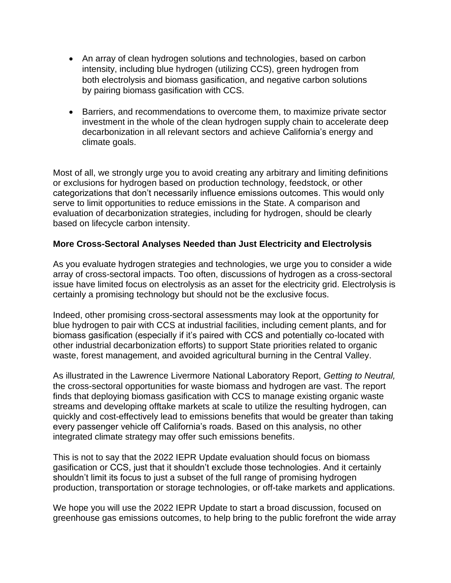- An array of clean hydrogen solutions and technologies, based on carbon intensity, including blue hydrogen (utilizing CCS), green hydrogen from both electrolysis and biomass gasification, and negative carbon solutions by pairing biomass gasification with CCS.
- Barriers, and recommendations to overcome them, to maximize private sector investment in the whole of the clean hydrogen supply chain to accelerate deep decarbonization in all relevant sectors and achieve California's energy and climate goals.

Most of all, we strongly urge you to avoid creating any arbitrary and limiting definitions or exclusions for hydrogen based on production technology, feedstock, or other categorizations that don't necessarily influence emissions outcomes. This would only serve to limit opportunities to reduce emissions in the State. A comparison and evaluation of decarbonization strategies, including for hydrogen, should be clearly based on lifecycle carbon intensity.

### **More Cross-Sectoral Analyses Needed than Just Electricity and Electrolysis**

As you evaluate hydrogen strategies and technologies, we urge you to consider a wide array of cross-sectoral impacts. Too often, discussions of hydrogen as a cross-sectoral issue have limited focus on electrolysis as an asset for the electricity grid. Electrolysis is certainly a promising technology but should not be the exclusive focus.

Indeed, other promising cross-sectoral assessments may look at the opportunity for blue hydrogen to pair with CCS at industrial facilities, including cement plants, and for biomass gasification (especially if it's paired with CCS and potentially co-located with other industrial decarbonization efforts) to support State priorities related to organic waste, forest management, and avoided agricultural burning in the Central Valley.

As illustrated in the Lawrence Livermore National Laboratory Report, *Getting to Neutral,*  the cross-sectoral opportunities for waste biomass and hydrogen are vast. The report finds that deploying biomass gasification with CCS to manage existing organic waste streams and developing offtake markets at scale to utilize the resulting hydrogen, can quickly and cost-effectively lead to emissions benefits that would be greater than taking every passenger vehicle off California's roads. Based on this analysis, no other integrated climate strategy may offer such emissions benefits.

This is not to say that the 2022 IEPR Update evaluation should focus on biomass gasification or CCS, just that it shouldn't exclude those technologies. And it certainly shouldn't limit its focus to just a subset of the full range of promising hydrogen production, transportation or storage technologies, or off-take markets and applications.

We hope you will use the 2022 IEPR Update to start a broad discussion, focused on greenhouse gas emissions outcomes, to help bring to the public forefront the wide array